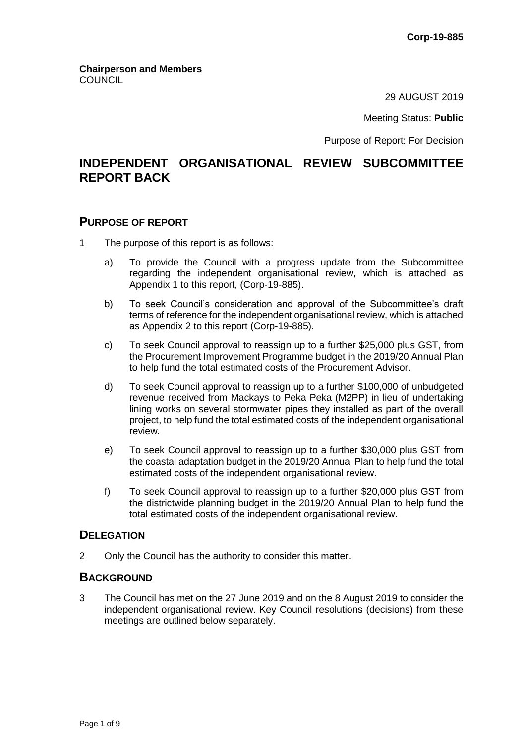29 AUGUST 2019

Meeting Status: **Public**

Purpose of Report: For Decision

# **INDEPENDENT ORGANISATIONAL REVIEW SUBCOMMITTEE REPORT BACK**

### **PURPOSE OF REPORT**

- 1 The purpose of this report is as follows:
	- a) To provide the Council with a progress update from the Subcommittee regarding the independent organisational review, which is attached as Appendix 1 to this report, (Corp-19-885).
	- b) To seek Council's consideration and approval of the Subcommittee's draft terms of reference for the independent organisational review, which is attached as Appendix 2 to this report (Corp-19-885).
	- c) To seek Council approval to reassign up to a further \$25,000 plus GST, from the Procurement Improvement Programme budget in the 2019/20 Annual Plan to help fund the total estimated costs of the Procurement Advisor.
	- d) To seek Council approval to reassign up to a further \$100,000 of unbudgeted revenue received from Mackays to Peka Peka (M2PP) in lieu of undertaking lining works on several stormwater pipes they installed as part of the overall project, to help fund the total estimated costs of the independent organisational review.
	- e) To seek Council approval to reassign up to a further \$30,000 plus GST from the coastal adaptation budget in the 2019/20 Annual Plan to help fund the total estimated costs of the independent organisational review.
	- f) To seek Council approval to reassign up to a further \$20,000 plus GST from the districtwide planning budget in the 2019/20 Annual Plan to help fund the total estimated costs of the independent organisational review.

### **DELEGATION**

2 Only the Council has the authority to consider this matter.

## **BACKGROUND**

3 The Council has met on the 27 June 2019 and on the 8 August 2019 to consider the independent organisational review. Key Council resolutions (decisions) from these meetings are outlined below separately.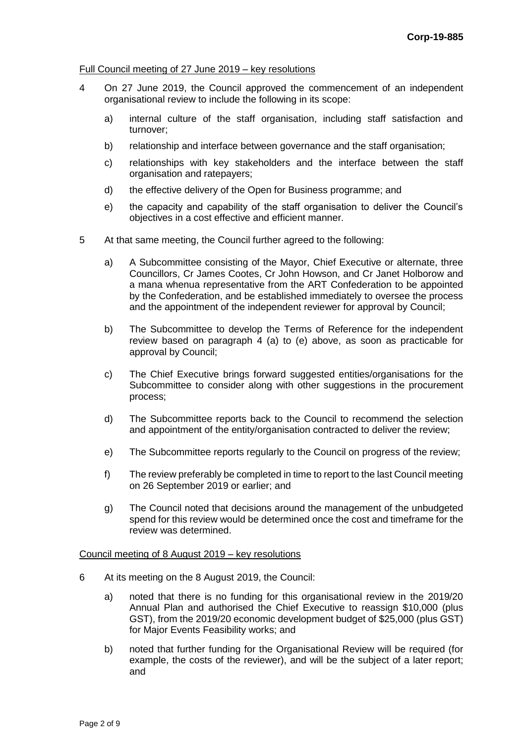#### Full Council meeting of 27 June 2019 – key resolutions

- 4 On 27 June 2019, the Council approved the commencement of an independent organisational review to include the following in its scope:
	- a) internal culture of the staff organisation, including staff satisfaction and turnover;
	- b) relationship and interface between governance and the staff organisation;
	- c) relationships with key stakeholders and the interface between the staff organisation and ratepayers;
	- d) the effective delivery of the Open for Business programme; and
	- e) the capacity and capability of the staff organisation to deliver the Council's objectives in a cost effective and efficient manner.
- 5 At that same meeting, the Council further agreed to the following:
	- a) A Subcommittee consisting of the Mayor, Chief Executive or alternate, three Councillors, Cr James Cootes, Cr John Howson, and Cr Janet Holborow and a mana whenua representative from the ART Confederation to be appointed by the Confederation, and be established immediately to oversee the process and the appointment of the independent reviewer for approval by Council;
	- b) The Subcommittee to develop the Terms of Reference for the independent review based on paragraph 4 (a) to (e) above, as soon as practicable for approval by Council;
	- c) The Chief Executive brings forward suggested entities/organisations for the Subcommittee to consider along with other suggestions in the procurement process;
	- d) The Subcommittee reports back to the Council to recommend the selection and appointment of the entity/organisation contracted to deliver the review;
	- e) The Subcommittee reports regularly to the Council on progress of the review;
	- f) The review preferably be completed in time to report to the last Council meeting on 26 September 2019 or earlier; and
	- g) The Council noted that decisions around the management of the unbudgeted spend for this review would be determined once the cost and timeframe for the review was determined.

#### Council meeting of 8 August 2019 – key resolutions

- 6 At its meeting on the 8 August 2019, the Council:
	- a) noted that there is no funding for this organisational review in the 2019/20 Annual Plan and authorised the Chief Executive to reassign \$10,000 (plus GST), from the 2019/20 economic development budget of \$25,000 (plus GST) for Major Events Feasibility works; and
	- b) noted that further funding for the Organisational Review will be required (for example, the costs of the reviewer), and will be the subject of a later report; and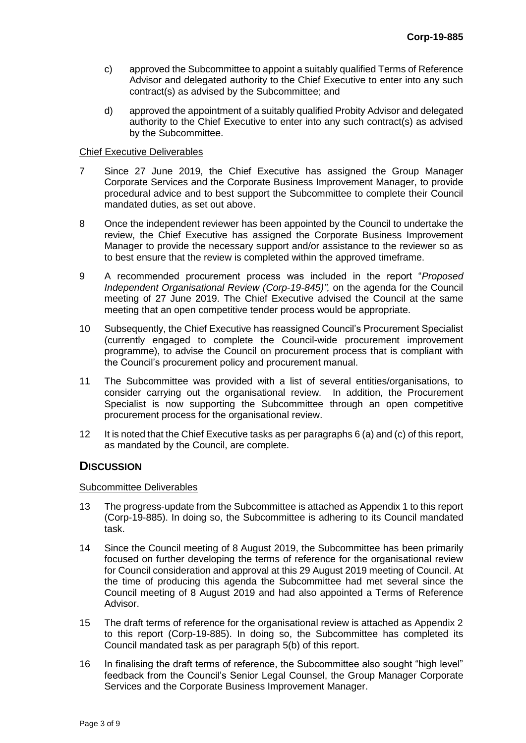- c) approved the Subcommittee to appoint a suitably qualified Terms of Reference Advisor and delegated authority to the Chief Executive to enter into any such contract(s) as advised by the Subcommittee; and
- d) approved the appointment of a suitably qualified Probity Advisor and delegated authority to the Chief Executive to enter into any such contract(s) as advised by the Subcommittee.

### Chief Executive Deliverables

- 7 Since 27 June 2019, the Chief Executive has assigned the Group Manager Corporate Services and the Corporate Business Improvement Manager, to provide procedural advice and to best support the Subcommittee to complete their Council mandated duties, as set out above.
- 8 Once the independent reviewer has been appointed by the Council to undertake the review, the Chief Executive has assigned the Corporate Business Improvement Manager to provide the necessary support and/or assistance to the reviewer so as to best ensure that the review is completed within the approved timeframe.
- 9 A recommended procurement process was included in the report "*Proposed Independent Organisational Review (Corp-19-845)",* on the agenda for the Council meeting of 27 June 2019. The Chief Executive advised the Council at the same meeting that an open competitive tender process would be appropriate.
- 10 Subsequently, the Chief Executive has reassigned Council's Procurement Specialist (currently engaged to complete the Council-wide procurement improvement programme), to advise the Council on procurement process that is compliant with the Council's procurement policy and procurement manual.
- 11 The Subcommittee was provided with a list of several entities/organisations, to consider carrying out the organisational review. In addition, the Procurement Specialist is now supporting the Subcommittee through an open competitive procurement process for the organisational review.
- 12 It is noted that the Chief Executive tasks as per paragraphs 6 (a) and (c) of this report, as mandated by the Council, are complete.

## **DISCUSSION**

#### Subcommittee Deliverables

- 13 The progress-update from the Subcommittee is attached as Appendix 1 to this report (Corp-19-885). In doing so, the Subcommittee is adhering to its Council mandated task.
- 14 Since the Council meeting of 8 August 2019, the Subcommittee has been primarily focused on further developing the terms of reference for the organisational review for Council consideration and approval at this 29 August 2019 meeting of Council. At the time of producing this agenda the Subcommittee had met several since the Council meeting of 8 August 2019 and had also appointed a Terms of Reference Advisor.
- 15 The draft terms of reference for the organisational review is attached as Appendix 2 to this report (Corp-19-885). In doing so, the Subcommittee has completed its Council mandated task as per paragraph 5(b) of this report.
- 16 In finalising the draft terms of reference, the Subcommittee also sought "high level" feedback from the Council's Senior Legal Counsel, the Group Manager Corporate Services and the Corporate Business Improvement Manager.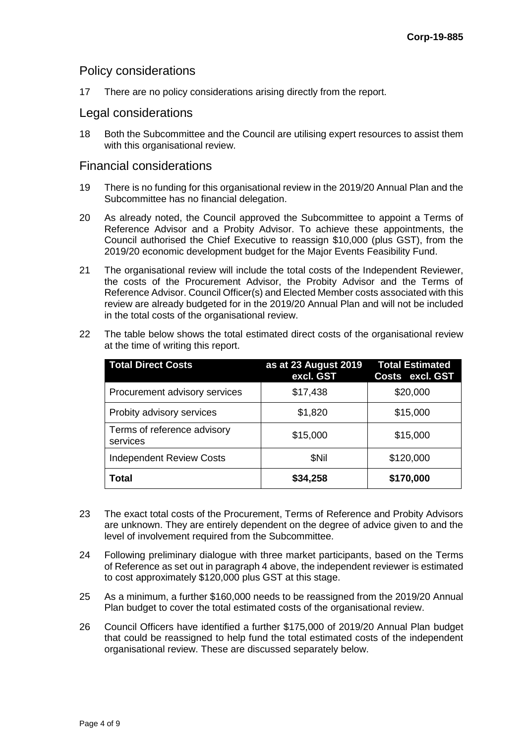## Policy considerations

17 There are no policy considerations arising directly from the report.

### Legal considerations

18 Both the Subcommittee and the Council are utilising expert resources to assist them with this organisational review.

### Financial considerations

- 19 There is no funding for this organisational review in the 2019/20 Annual Plan and the Subcommittee has no financial delegation.
- 20 As already noted, the Council approved the Subcommittee to appoint a Terms of Reference Advisor and a Probity Advisor. To achieve these appointments, the Council authorised the Chief Executive to reassign \$10,000 (plus GST), from the 2019/20 economic development budget for the Major Events Feasibility Fund.
- 21 The organisational review will include the total costs of the Independent Reviewer, the costs of the Procurement Advisor, the Probity Advisor and the Terms of Reference Advisor. Council Officer(s) and Elected Member costs associated with this review are already budgeted for in the 2019/20 Annual Plan and will not be included in the total costs of the organisational review.

| <b>Total Direct Costs</b>               | as at 23 August 2019<br>excl. GST | <b>Total Estimated</b><br>Costs excl. GST |
|-----------------------------------------|-----------------------------------|-------------------------------------------|
| Procurement advisory services           | \$17,438                          | \$20,000                                  |
| Probity advisory services               | \$1,820                           | \$15,000                                  |
| Terms of reference advisory<br>services | \$15,000                          | \$15,000                                  |
| <b>Independent Review Costs</b>         | \$Nil                             | \$120,000                                 |
| Total                                   | \$34,258                          | \$170,000                                 |

22 The table below shows the total estimated direct costs of the organisational review at the time of writing this report.

- 23 The exact total costs of the Procurement, Terms of Reference and Probity Advisors are unknown. They are entirely dependent on the degree of advice given to and the level of involvement required from the Subcommittee.
- 24 Following preliminary dialogue with three market participants, based on the Terms of Reference as set out in paragraph 4 above, the independent reviewer is estimated to cost approximately \$120,000 plus GST at this stage.
- 25 As a minimum, a further \$160,000 needs to be reassigned from the 2019/20 Annual Plan budget to cover the total estimated costs of the organisational review.
- 26 Council Officers have identified a further \$175,000 of 2019/20 Annual Plan budget that could be reassigned to help fund the total estimated costs of the independent organisational review. These are discussed separately below.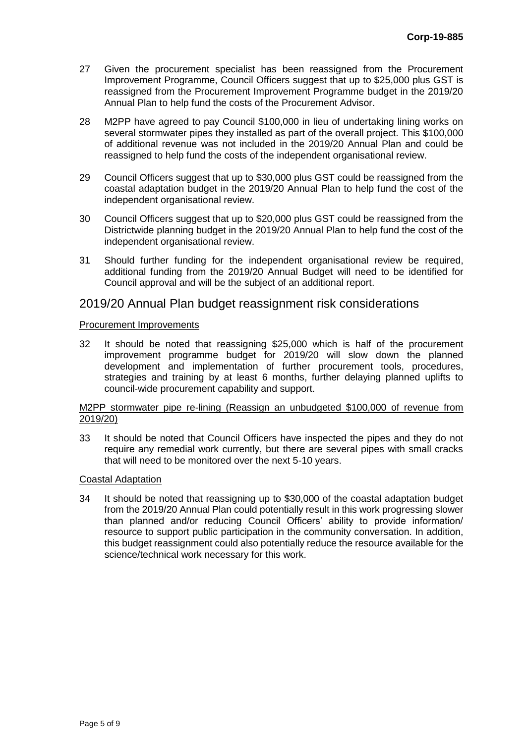- 27 Given the procurement specialist has been reassigned from the Procurement Improvement Programme, Council Officers suggest that up to \$25,000 plus GST is reassigned from the Procurement Improvement Programme budget in the 2019/20 Annual Plan to help fund the costs of the Procurement Advisor.
- 28 M2PP have agreed to pay Council \$100,000 in lieu of undertaking lining works on several stormwater pipes they installed as part of the overall project. This \$100,000 of additional revenue was not included in the 2019/20 Annual Plan and could be reassigned to help fund the costs of the independent organisational review.
- 29 Council Officers suggest that up to \$30,000 plus GST could be reassigned from the coastal adaptation budget in the 2019/20 Annual Plan to help fund the cost of the independent organisational review.
- 30 Council Officers suggest that up to \$20,000 plus GST could be reassigned from the Districtwide planning budget in the 2019/20 Annual Plan to help fund the cost of the independent organisational review.
- 31 Should further funding for the independent organisational review be required, additional funding from the 2019/20 Annual Budget will need to be identified for Council approval and will be the subject of an additional report.

## 2019/20 Annual Plan budget reassignment risk considerations

#### Procurement Improvements

32 It should be noted that reassigning \$25,000 which is half of the procurement improvement programme budget for 2019/20 will slow down the planned development and implementation of further procurement tools, procedures, strategies and training by at least 6 months, further delaying planned uplifts to council-wide procurement capability and support.

#### M2PP stormwater pipe re-lining (Reassign an unbudgeted \$100,000 of revenue from 2019/20)

33 It should be noted that Council Officers have inspected the pipes and they do not require any remedial work currently, but there are several pipes with small cracks that will need to be monitored over the next 5-10 years.

### Coastal Adaptation

34 It should be noted that reassigning up to \$30,000 of the coastal adaptation budget from the 2019/20 Annual Plan could potentially result in this work progressing slower than planned and/or reducing Council Officers' ability to provide information/ resource to support public participation in the community conversation. In addition, this budget reassignment could also potentially reduce the resource available for the science/technical work necessary for this work.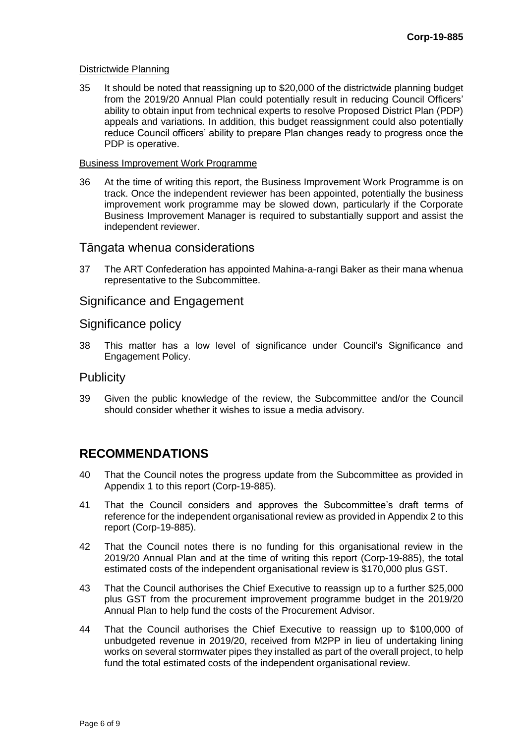#### Districtwide Planning

35 It should be noted that reassigning up to \$20,000 of the districtwide planning budget from the 2019/20 Annual Plan could potentially result in reducing Council Officers' ability to obtain input from technical experts to resolve Proposed District Plan (PDP) appeals and variations. In addition, this budget reassignment could also potentially reduce Council officers' ability to prepare Plan changes ready to progress once the PDP is operative.

#### Business Improvement Work Programme

36 At the time of writing this report, the Business Improvement Work Programme is on track. Once the independent reviewer has been appointed, potentially the business improvement work programme may be slowed down, particularly if the Corporate Business Improvement Manager is required to substantially support and assist the independent reviewer.

### Tāngata whenua considerations

37 The ART Confederation has appointed Mahina-a-rangi Baker as their mana whenua representative to the Subcommittee.

## Significance and Engagement

## Significance policy

38 This matter has a low level of significance under Council's Significance and Engagement Policy.

## **Publicity**

39 Given the public knowledge of the review, the Subcommittee and/or the Council should consider whether it wishes to issue a media advisory.

## **RECOMMENDATIONS**

- 40 That the Council notes the progress update from the Subcommittee as provided in Appendix 1 to this report (Corp-19-885).
- 41 That the Council considers and approves the Subcommittee's draft terms of reference for the independent organisational review as provided in Appendix 2 to this report (Corp-19-885).
- 42 That the Council notes there is no funding for this organisational review in the 2019/20 Annual Plan and at the time of writing this report (Corp-19-885), the total estimated costs of the independent organisational review is \$170,000 plus GST.
- 43 That the Council authorises the Chief Executive to reassign up to a further \$25,000 plus GST from the procurement improvement programme budget in the 2019/20 Annual Plan to help fund the costs of the Procurement Advisor.
- 44 That the Council authorises the Chief Executive to reassign up to \$100,000 of unbudgeted revenue in 2019/20, received from M2PP in lieu of undertaking lining works on several stormwater pipes they installed as part of the overall project, to help fund the total estimated costs of the independent organisational review.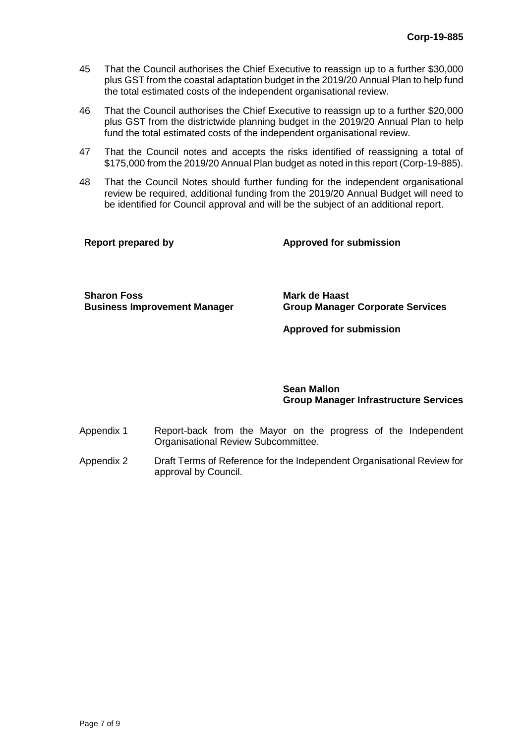- 45 That the Council authorises the Chief Executive to reassign up to a further \$30,000 plus GST from the coastal adaptation budget in the 2019/20 Annual Plan to help fund the total estimated costs of the independent organisational review.
- 46 That the Council authorises the Chief Executive to reassign up to a further \$20,000 plus GST from the districtwide planning budget in the 2019/20 Annual Plan to help fund the total estimated costs of the independent organisational review.
- 47 That the Council notes and accepts the risks identified of reassigning a total of \$175,000 from the 2019/20 Annual Plan budget as noted in this report (Corp-19-885).
- 48 That the Council Notes should further funding for the independent organisational review be required, additional funding from the 2019/20 Annual Budget will need to be identified for Council approval and will be the subject of an additional report.

| <b>Report prepared by</b> | <b>Approved for submission</b> |
|---------------------------|--------------------------------|
|                           |                                |

**Sharon Foss Mark de Haast**

**Business Improvement Manager Group Manager Corporate Services**

**Approved for submission**

**Sean Mallon Group Manager Infrastructure Services**

- Appendix 1 Report-back from the Mayor on the progress of the Independent Organisational Review Subcommittee.
- Appendix 2 Draft Terms of Reference for the Independent Organisational Review for approval by Council.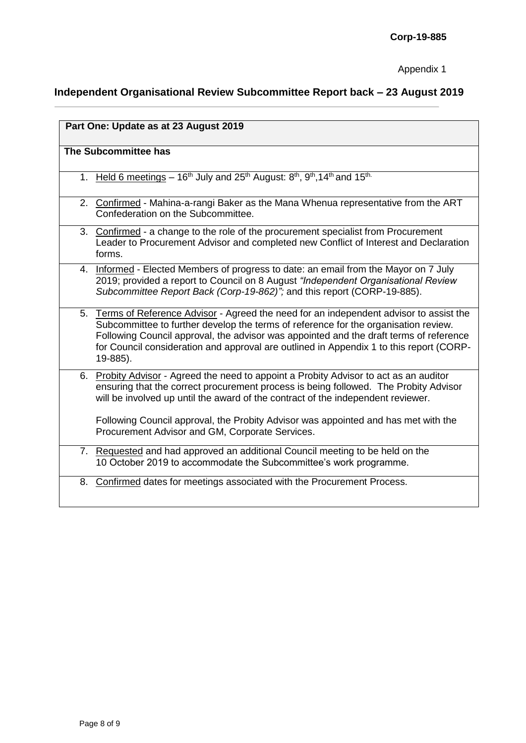# **Independent Organisational Review Subcommittee Report back – 23 August 2019**

| Part One: Update as at 23 August 2019                                                                                                                                                                                                                                                                                                                                               |  |  |
|-------------------------------------------------------------------------------------------------------------------------------------------------------------------------------------------------------------------------------------------------------------------------------------------------------------------------------------------------------------------------------------|--|--|
| The Subcommittee has                                                                                                                                                                                                                                                                                                                                                                |  |  |
| 1. Held 6 meetings - 16 <sup>th</sup> July and 25 <sup>th</sup> August: 8 <sup>th</sup> , 9 <sup>th</sup> , 14 <sup>th</sup> and 15 <sup>th.</sup>                                                                                                                                                                                                                                  |  |  |
| 2. Confirmed - Mahina-a-rangi Baker as the Mana Whenua representative from the ART<br>Confederation on the Subcommittee.                                                                                                                                                                                                                                                            |  |  |
| 3. Confirmed - a change to the role of the procurement specialist from Procurement<br>Leader to Procurement Advisor and completed new Conflict of Interest and Declaration<br>forms.                                                                                                                                                                                                |  |  |
| 4. Informed - Elected Members of progress to date: an email from the Mayor on 7 July<br>2019; provided a report to Council on 8 August "Independent Organisational Review<br>Subcommittee Report Back (Corp-19-862)"; and this report (CORP-19-885).                                                                                                                                |  |  |
| Terms of Reference Advisor - Agreed the need for an independent advisor to assist the<br>5.<br>Subcommittee to further develop the terms of reference for the organisation review.<br>Following Council approval, the advisor was appointed and the draft terms of reference<br>for Council consideration and approval are outlined in Appendix 1 to this report (CORP-<br>19-885). |  |  |
| 6. Probity Advisor - Agreed the need to appoint a Probity Advisor to act as an auditor<br>ensuring that the correct procurement process is being followed. The Probity Advisor<br>will be involved up until the award of the contract of the independent reviewer.                                                                                                                  |  |  |
| Following Council approval, the Probity Advisor was appointed and has met with the<br>Procurement Advisor and GM, Corporate Services.                                                                                                                                                                                                                                               |  |  |
| 7. Requested and had approved an additional Council meeting to be held on the<br>10 October 2019 to accommodate the Subcommittee's work programme.                                                                                                                                                                                                                                  |  |  |
| Confirmed dates for meetings associated with the Procurement Process.<br>8.                                                                                                                                                                                                                                                                                                         |  |  |